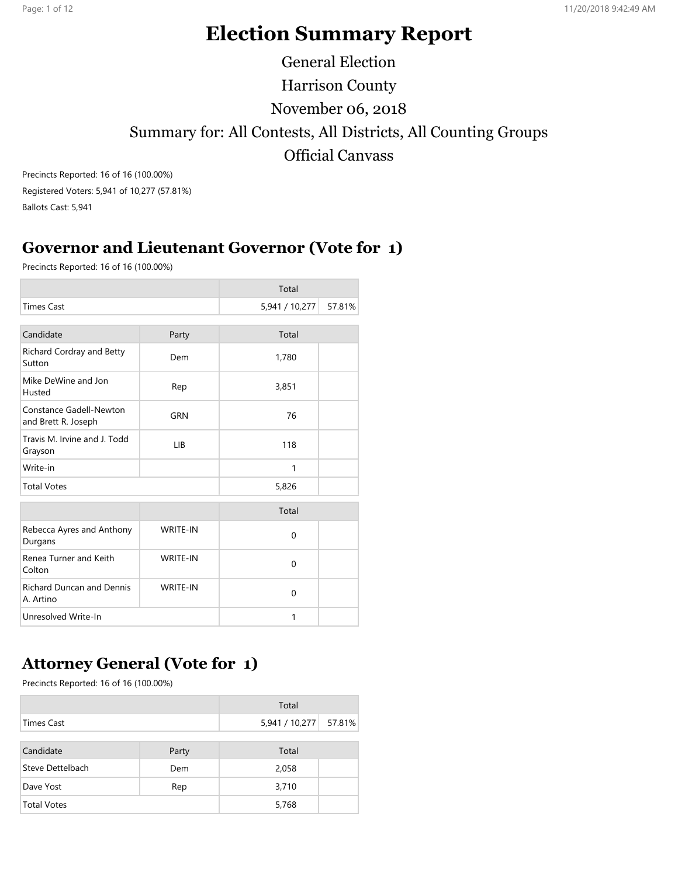# Election Summary Report

General Election Harrison County November 06, 2018 Summary for: All Contests, All Districts, All Counting Groups Official Canvass

Precincts Reported: 16 of 16 (100.00%) Registered Voters: 5,941 of 10,277 (57.81%) Ballots Cast: 5,941

### Governor and Lieutenant Governor (Vote for 1)

Precincts Reported: 16 of 16 (100.00%)

|                                                |                 | Total          |        |
|------------------------------------------------|-----------------|----------------|--------|
| <b>Times Cast</b>                              |                 | 5,941 / 10,277 | 57.81% |
| Candidate                                      | Party           | Total          |        |
| Richard Cordray and Betty<br>Sutton            | Dem             | 1,780          |        |
| Mike DeWine and Jon<br>Husted                  | Rep             | 3,851          |        |
| Constance Gadell-Newton<br>and Brett R. Joseph | GRN             | 76             |        |
| Travis M. Irvine and J. Todd<br>Grayson        | <b>LIB</b>      | 118            |        |
| Write-in                                       |                 | 1              |        |
| <b>Total Votes</b>                             |                 | 5,826          |        |
|                                                |                 | Total          |        |
| Rebecca Ayres and Anthony<br>Durgans           | <b>WRITE-IN</b> | 0              |        |
| Renea Turner and Keith<br>Colton               | <b>WRITE-IN</b> | 0              |        |
| <b>Richard Duncan and Dennis</b><br>A. Artino  | <b>WRITE-IN</b> | $\Omega$       |        |
| Unresolved Write-In                            |                 | 1              |        |

# Attorney General (Vote for 1)

|                    |       | Total          |        |
|--------------------|-------|----------------|--------|
| Times Cast         |       | 5,941 / 10,277 | 57.81% |
| Candidate          | Party | Total          |        |
| Steve Dettelbach   | Dem   | 2,058          |        |
| Dave Yost          | Rep   | 3,710          |        |
| <b>Total Votes</b> |       | 5,768          |        |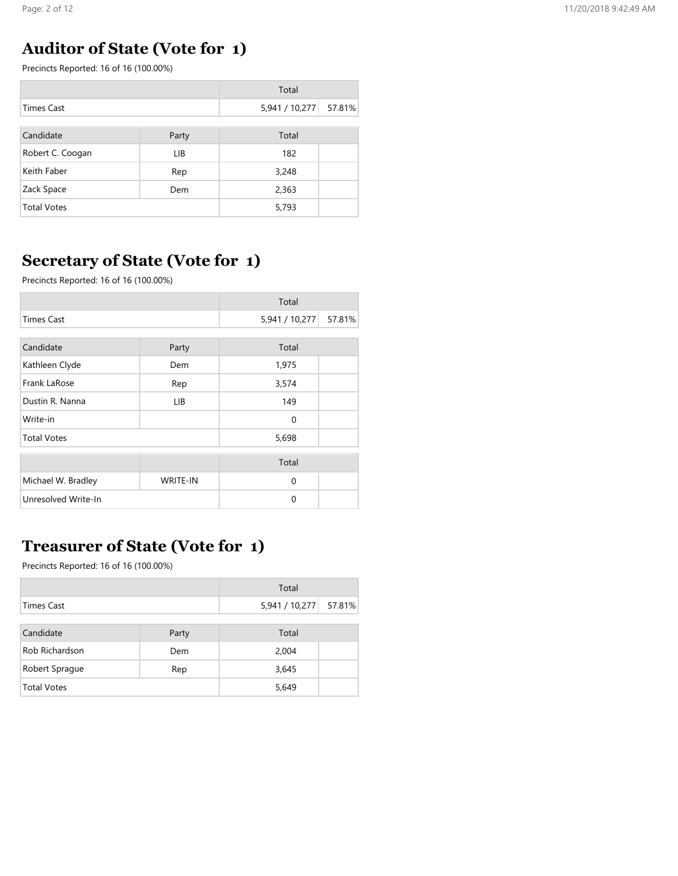# Auditor of State (Vote for 1)

Precincts Reported: 16 of 16 (100.00%)

|                    |       | Total          |        |
|--------------------|-------|----------------|--------|
| <b>Times Cast</b>  |       | 5,941 / 10,277 | 57.81% |
|                    |       |                |        |
| Candidate          | Party | Total          |        |
| Robert C. Coogan   | LIB   | 182            |        |
| Keith Faber        | Rep   | 3,248          |        |
| Zack Space         | Dem   | 2,363          |        |
| <b>Total Votes</b> |       | 5,793          |        |

# Secretary of State (Vote for 1)

Precincts Reported: 16 of 16 (100.00%)

|                     |                 | Total          |        |
|---------------------|-----------------|----------------|--------|
| <b>Times Cast</b>   |                 | 5,941 / 10,277 | 57.81% |
|                     |                 |                |        |
| Candidate           | Party           | Total          |        |
| Kathleen Clyde      | Dem             | 1,975          |        |
| Frank LaRose        | Rep             | 3,574          |        |
| Dustin R. Nanna     | LIB.            | 149            |        |
| Write-in            |                 | 0              |        |
| <b>Total Votes</b>  |                 | 5,698          |        |
|                     |                 | Total          |        |
| Michael W. Bradley  | <b>WRITE-IN</b> | $\mathbf 0$    |        |
| Unresolved Write-In |                 | $\Omega$       |        |

# Treasurer of State (Vote for 1)

|                    |       | Total          |        |
|--------------------|-------|----------------|--------|
| Times Cast         |       | 5,941 / 10,277 | 57.81% |
|                    |       |                |        |
| Candidate          | Party | Total          |        |
| Rob Richardson     | Dem   | 2,004          |        |
| Robert Sprague     | Rep   | 3,645          |        |
| <b>Total Votes</b> |       | 5,649          |        |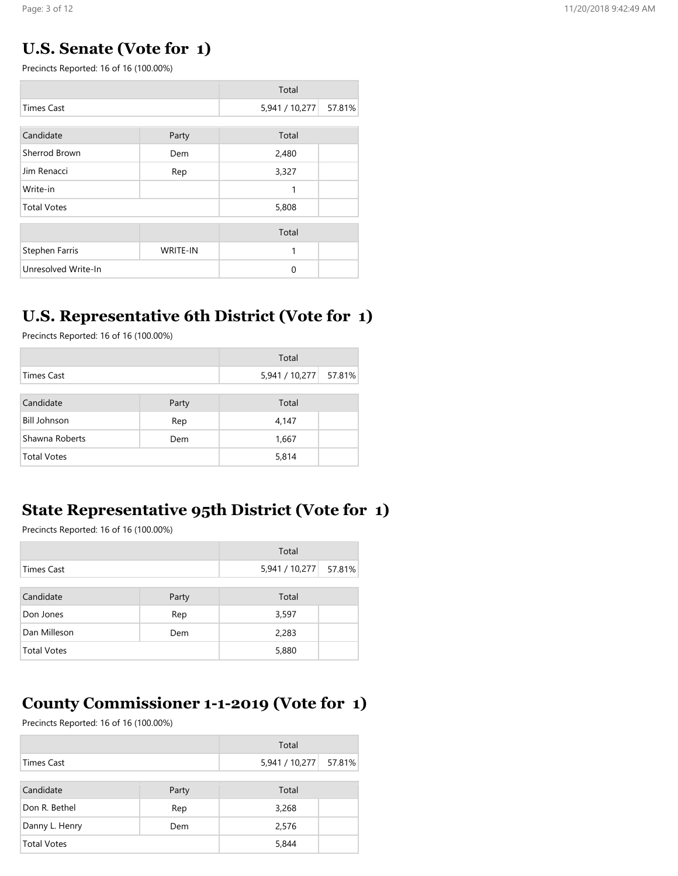#### U.S. Senate (Vote for 1)

Precincts Reported: 16 of 16 (100.00%)

|                     |                 | Total          |        |
|---------------------|-----------------|----------------|--------|
| <b>Times Cast</b>   |                 | 5,941 / 10,277 | 57.81% |
|                     |                 |                |        |
| Candidate           | Party           | Total          |        |
| Sherrod Brown       | Dem             | 2,480          |        |
| Jim Renacci         | Rep             | 3,327          |        |
| Write-in            |                 | 1              |        |
| <b>Total Votes</b>  |                 | 5,808          |        |
|                     |                 | Total          |        |
|                     |                 |                |        |
| Stephen Farris      | <b>WRITE-IN</b> | 1              |        |
| Unresolved Write-In |                 | 0              |        |

### U.S. Representative 6th District (Vote for 1)

Precincts Reported: 16 of 16 (100.00%)

|                     |       | Total          |        |
|---------------------|-------|----------------|--------|
| Times Cast          |       | 5,941 / 10,277 | 57.81% |
|                     |       |                |        |
| Candidate           | Party | Total          |        |
| <b>Bill Johnson</b> | Rep   | 4,147          |        |
| Shawna Roberts      | Dem   | 1,667          |        |
| <b>Total Votes</b>  |       | 5,814          |        |

### State Representative 95th District (Vote for 1)

Precincts Reported: 16 of 16 (100.00%)

|                    |       | Total          |        |
|--------------------|-------|----------------|--------|
| Times Cast         |       | 5,941 / 10,277 | 57.81% |
| Candidate          | Party | Total          |        |
| Don Jones          | Rep   | 3,597          |        |
| Dan Milleson       | Dem   | 2,283          |        |
| <b>Total Votes</b> |       | 5,880          |        |

# County Commissioner 1-1-2019 (Vote for 1)

|                   |       | Total          |        |
|-------------------|-------|----------------|--------|
| <b>Times Cast</b> |       | 5,941 / 10,277 | 57.81% |
| Candidate         | Party | Total          |        |
| Don R. Bethel     | Rep   | 3,268          |        |
| Danny L. Henry    | Dem   | 2,576          |        |
| Total Votes       |       | 5,844          |        |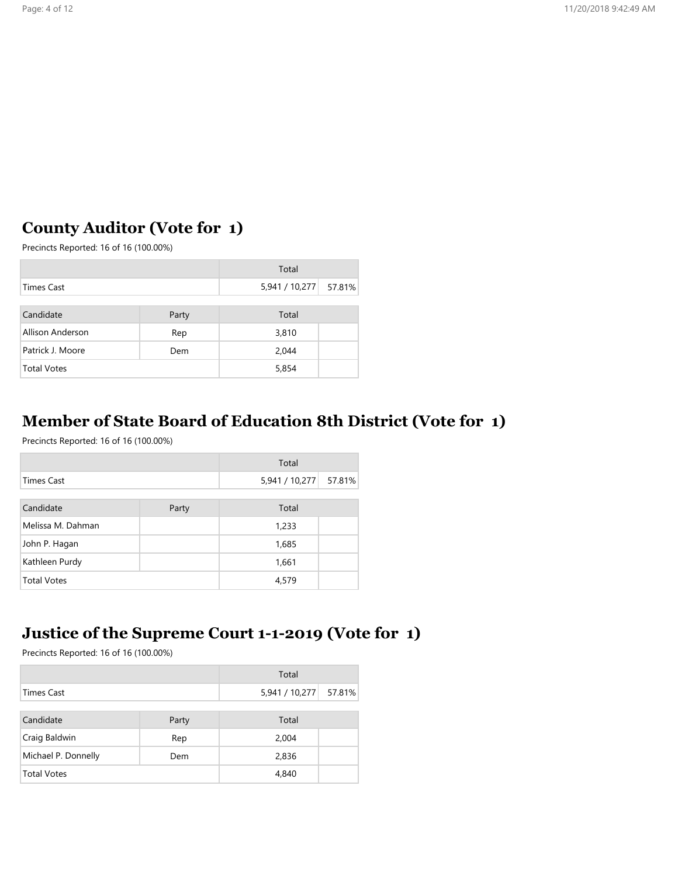# County Auditor (Vote for 1)

Precincts Reported: 16 of 16 (100.00%)

|                    |       | Total                   |  |
|--------------------|-------|-------------------------|--|
| <b>Times Cast</b>  |       | 5,941 / 10,277   57.81% |  |
|                    |       |                         |  |
| Candidate          | Party | Total                   |  |
| Allison Anderson   | Rep   | 3,810                   |  |
| Patrick J. Moore   | Dem   | 2,044                   |  |
| <b>Total Votes</b> |       | 5,854                   |  |

# Member of State Board of Education 8th District (Vote for 1)

Precincts Reported: 16 of 16 (100.00%)

|                    |       | Total          |        |
|--------------------|-------|----------------|--------|
| <b>Times Cast</b>  |       | 5,941 / 10,277 | 57.81% |
|                    |       |                |        |
| Candidate          | Party | Total          |        |
| Melissa M. Dahman  |       | 1,233          |        |
| John P. Hagan      |       | 1,685          |        |
| Kathleen Purdy     |       | 1,661          |        |
| <b>Total Votes</b> |       | 4,579          |        |

### Justice of the Supreme Court 1-1-2019 (Vote for 1)

|                     |       | Total          |        |
|---------------------|-------|----------------|--------|
| <b>Times Cast</b>   |       | 5,941 / 10,277 | 57.81% |
|                     |       |                |        |
| Candidate           | Party | Total          |        |
| Craig Baldwin       | Rep   | 2,004          |        |
| Michael P. Donnelly | Dem   | 2,836          |        |
| <b>Total Votes</b>  |       | 4,840          |        |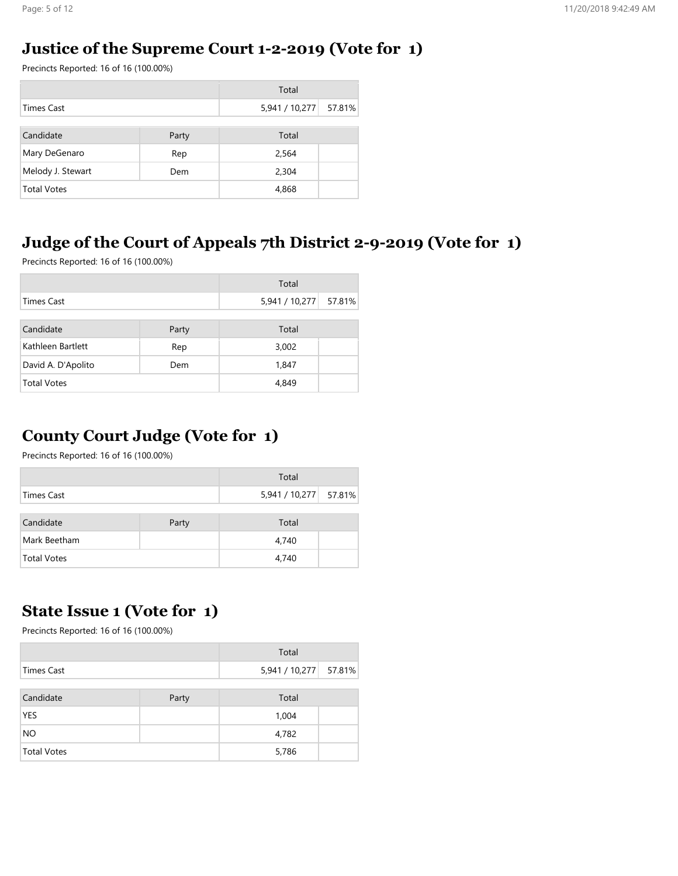#### Justice of the Supreme Court 1-2-2019 (Vote for 1)

Precincts Reported: 16 of 16 (100.00%)

|                    |       | Total                 |  |
|--------------------|-------|-----------------------|--|
| <b>Times Cast</b>  |       | 5,941 / 10,277 57.81% |  |
|                    |       |                       |  |
| Candidate          | Party | Total                 |  |
| Mary DeGenaro      | Rep   | 2,564                 |  |
| Melody J. Stewart  | Dem   | 2,304                 |  |
| <b>Total Votes</b> |       | 4,868                 |  |

### Judge of the Court of Appeals 7th District 2-9-2019 (Vote for 1)

Precincts Reported: 16 of 16 (100.00%)

|                    |       | Total          |        |
|--------------------|-------|----------------|--------|
| <b>Times Cast</b>  |       | 5,941 / 10,277 | 57.81% |
|                    |       |                |        |
| Candidate          | Party | Total          |        |
| Kathleen Bartlett  | Rep   | 3,002          |        |
| David A. D'Apolito | Dem   | 1,847          |        |
| <b>Total Votes</b> |       | 4,849          |        |

# County Court Judge (Vote for 1)

Precincts Reported: 16 of 16 (100.00%)

|                    |       | Total                   |  |
|--------------------|-------|-------------------------|--|
| Times Cast         |       | 5,941 / 10,277   57.81% |  |
| Candidate          | Party | Total                   |  |
| Mark Beetham       |       | 4,740                   |  |
| <b>Total Votes</b> |       | 4,740                   |  |

#### State Issue 1 (Vote for 1)

|             |       | Total                 |  |
|-------------|-------|-----------------------|--|
| Times Cast  |       | 5,941 / 10,277 57.81% |  |
|             |       |                       |  |
| Candidate   | Party | Total                 |  |
| <b>YES</b>  |       | 1,004                 |  |
| <b>NO</b>   |       | 4,782                 |  |
| Total Votes |       | 5,786                 |  |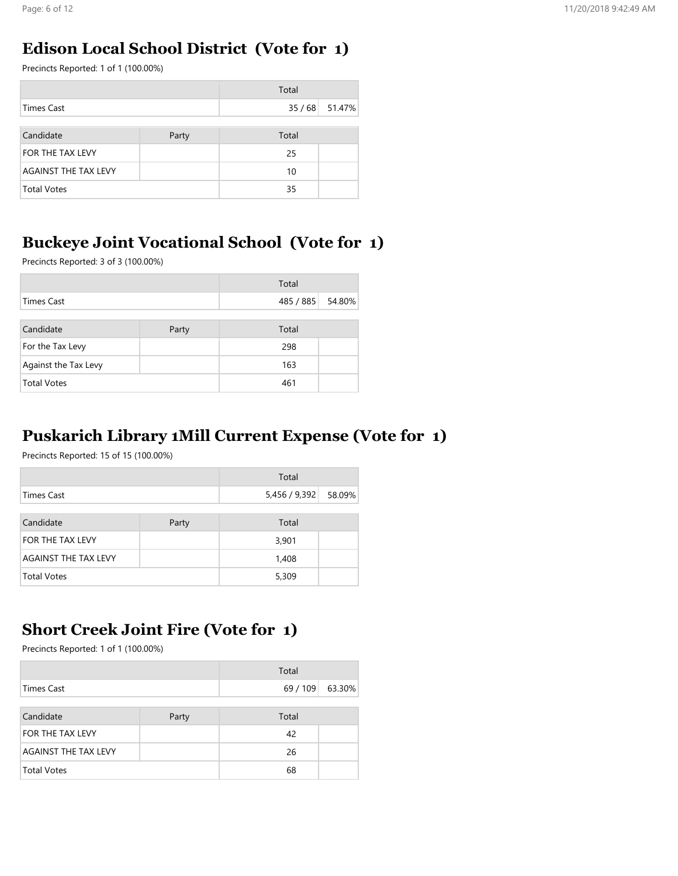#### Edison Local School District (Vote for 1)

Precincts Reported: 1 of 1 (100.00%)

|                             |       | Total |                |
|-----------------------------|-------|-------|----------------|
| <b>Times Cast</b>           |       |       | 35 / 68 51.47% |
|                             |       |       |                |
| Candidate                   | Party | Total |                |
| FOR THE TAX LEVY            |       | 25    |                |
| <b>AGAINST THE TAX LEVY</b> |       | 10    |                |
| <b>Total Votes</b>          |       |       |                |

### Buckeye Joint Vocational School (Vote for 1)

Precincts Reported: 3 of 3 (100.00%)

|                      |       | Total     |        |
|----------------------|-------|-----------|--------|
| <b>Times Cast</b>    |       | 485 / 885 | 54.80% |
|                      |       |           |        |
| Candidate            | Party | Total     |        |
| For the Tax Levy     |       | 298       |        |
| Against the Tax Levy |       | 163       |        |
| <b>Total Votes</b>   |       | 461       |        |

### Puskarich Library 1Mill Current Expense (Vote for 1)

Precincts Reported: 15 of 15 (100.00%)

|                      |       | Total       |        |
|----------------------|-------|-------------|--------|
| Times Cast           |       | 5,456/9,392 | 58.09% |
|                      |       |             |        |
| Candidate            | Party | Total       |        |
| FOR THE TAX LEVY     |       | 3,901       |        |
| AGAINST THE TAX LEVY |       | 1,408       |        |
| <b>Total Votes</b>   |       |             |        |

### Short Creek Joint Fire (Vote for 1)

|                      |       | Total    |        |
|----------------------|-------|----------|--------|
| Times Cast           |       | 69 / 109 | 63.30% |
|                      |       |          |        |
| Candidate            | Party | Total    |        |
| FOR THE TAX LEVY     |       | 42       |        |
| AGAINST THE TAX LEVY |       | 26       |        |
| <b>Total Votes</b>   |       | 68       |        |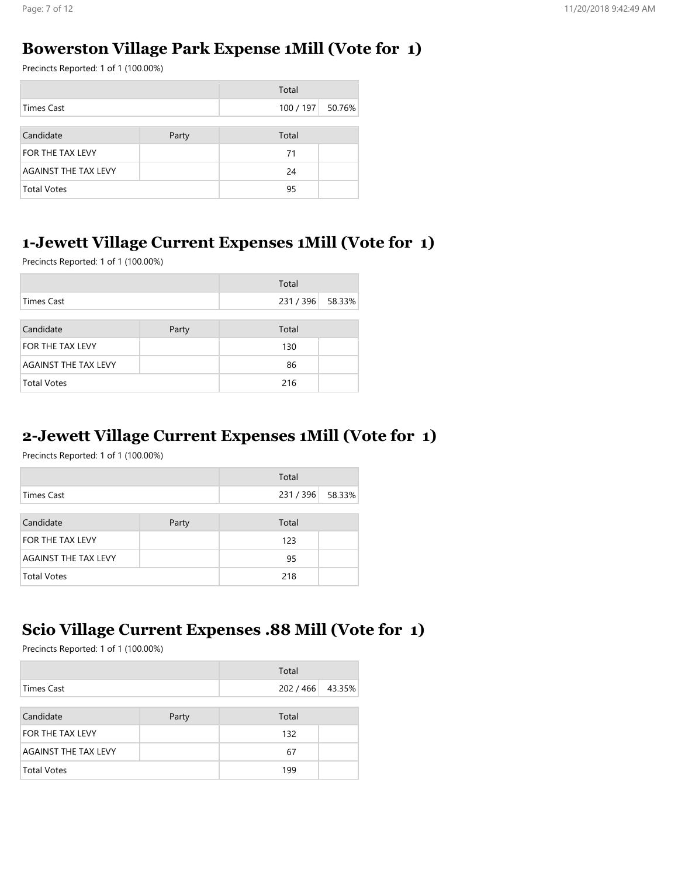#### Bowerston Village Park Expense 1Mill (Vote for 1)

Precincts Reported: 1 of 1 (100.00%)

|                      |       | Total            |  |
|----------------------|-------|------------------|--|
| <b>Times Cast</b>    |       | 100 / 197 50.76% |  |
|                      |       |                  |  |
| Candidate            | Party | Total            |  |
| FOR THE TAX LEVY     |       | 71               |  |
| AGAINST THE TAX LEVY |       | 24               |  |
| <b>Total Votes</b>   |       | 95               |  |

### 1-Jewett Village Current Expenses 1Mill (Vote for 1)

Precincts Reported: 1 of 1 (100.00%)

| Total                       |       |                  |  |
|-----------------------------|-------|------------------|--|
| <b>Times Cast</b>           |       | 231 / 396 58.33% |  |
|                             |       |                  |  |
| Candidate                   | Party | Total            |  |
| FOR THE TAX LEVY            |       | 130              |  |
| <b>AGAINST THE TAX LEVY</b> |       | 86               |  |
| <b>Total Votes</b>          |       | 216              |  |

#### 2-Jewett Village Current Expenses 1Mill (Vote for 1)

Precincts Reported: 1 of 1 (100.00%)

|                             |       | Total          |  |
|-----------------------------|-------|----------------|--|
| <b>Times Cast</b>           |       | 231/396 58.33% |  |
|                             |       |                |  |
| Candidate                   | Party | Total          |  |
| FOR THE TAX LEVY            |       | 123            |  |
| <b>AGAINST THE TAX LEVY</b> |       | 95             |  |
| <b>Total Votes</b>          |       | 218            |  |

### Scio Village Current Expenses .88 Mill (Vote for 1)

|                             |       | Total     |        |
|-----------------------------|-------|-----------|--------|
| <b>Times Cast</b>           |       | 202 / 466 | 43.35% |
|                             |       |           |        |
| Candidate                   | Party | Total     |        |
| FOR THE TAX LEVY            |       | 132       |        |
| <b>AGAINST THE TAX LEVY</b> |       | 67        |        |
| <b>Total Votes</b>          |       | 199       |        |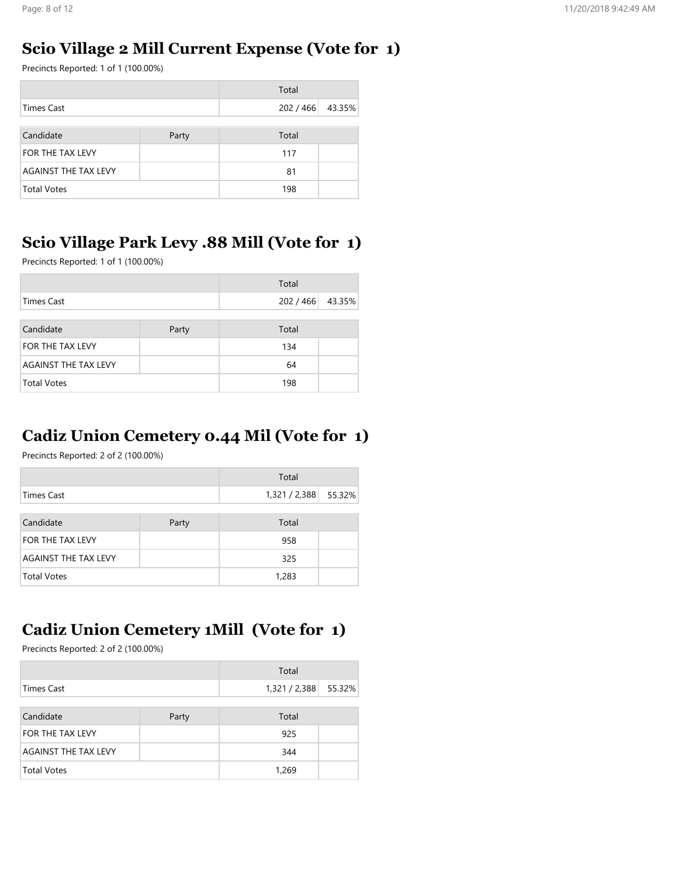#### Scio Village 2 Mill Current Expense (Vote for 1)

Precincts Reported: 1 of 1 (100.00%)

|                             |       | Total            |  |
|-----------------------------|-------|------------------|--|
| <b>Times Cast</b>           |       | 202 / 466 43.35% |  |
|                             |       |                  |  |
| Candidate                   | Party | Total            |  |
| FOR THE TAX LEVY            |       | 117              |  |
| <b>AGAINST THE TAX LEVY</b> |       | 81               |  |
| <b>Total Votes</b>          |       | 198              |  |

### Scio Village Park Levy .88 Mill (Vote for 1)

Precincts Reported: 1 of 1 (100.00%)

|                      |       | Total            |  |
|----------------------|-------|------------------|--|
| <b>Times Cast</b>    |       | 202 / 466 43.35% |  |
|                      |       |                  |  |
| Candidate            | Party | Total            |  |
| FOR THE TAX LEVY     |       | 134              |  |
| AGAINST THE TAX LEVY |       | 64               |  |
| <b>Total Votes</b>   |       | 198              |  |

# Cadiz Union Cemetery 0.44 Mil (Vote for 1)

Precincts Reported: 2 of 2 (100.00%)

|                      |       | Total                |  |
|----------------------|-------|----------------------|--|
| Times Cast           |       | 1,321 / 2,388 55.32% |  |
|                      |       |                      |  |
| Candidate            | Party | Total                |  |
| FOR THE TAX LEVY     |       | 958                  |  |
| AGAINST THE TAX LEVY |       | 325                  |  |
| <b>Total Votes</b>   |       | 1,283                |  |

# Cadiz Union Cemetery 1Mill (Vote for 1)

|                             |       | Total                |  |
|-----------------------------|-------|----------------------|--|
| <b>Times Cast</b>           |       | 1,321 / 2,388 55.32% |  |
|                             |       |                      |  |
| Candidate                   | Party | Total                |  |
| FOR THE TAX LEVY            |       | 925                  |  |
| <b>AGAINST THE TAX LEVY</b> |       | 344                  |  |
| <b>Total Votes</b>          |       | 1,269                |  |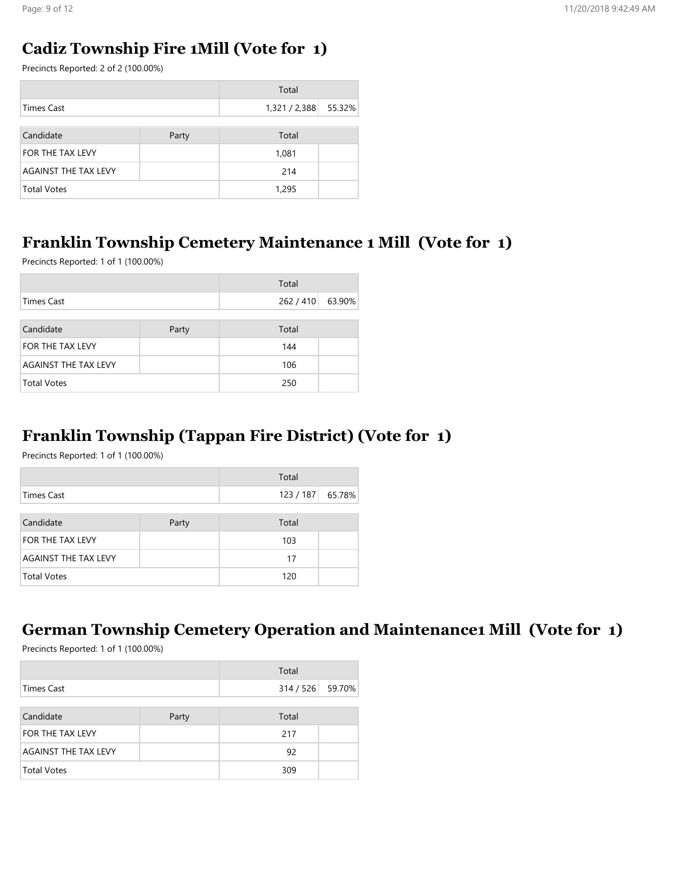#### Cadiz Township Fire 1Mill (Vote for 1)

Precincts Reported: 2 of 2 (100.00%)

|                      |       | Total                |  |
|----------------------|-------|----------------------|--|
| <b>Times Cast</b>    |       | 1,321 / 2,388 55.32% |  |
|                      |       |                      |  |
| Candidate            | Party | Total                |  |
| FOR THE TAX LEVY     |       | 1,081                |  |
| AGAINST THE TAX LEVY |       | 214                  |  |
| <b>Total Votes</b>   |       | 1,295                |  |

### Franklin Township Cemetery Maintenance 1 Mill (Vote for 1)

Precincts Reported: 1 of 1 (100.00%)

|                             |       | Total     |        |
|-----------------------------|-------|-----------|--------|
| <b>Times Cast</b>           |       | 262 / 410 | 63.90% |
|                             |       |           |        |
| Candidate                   | Party | Total     |        |
| FOR THE TAX LEVY            |       | 144       |        |
| <b>AGAINST THE TAX LEVY</b> |       | 106       |        |
| <b>Total Votes</b>          |       | 250       |        |

### Franklin Township (Tappan Fire District) (Vote for 1)

Precincts Reported: 1 of 1 (100.00%)

|                      |       | Total            |  |
|----------------------|-------|------------------|--|
| <b>Times Cast</b>    |       | 123 / 187 65.78% |  |
|                      |       |                  |  |
| Candidate            | Party | Total            |  |
| FOR THE TAX LEVY     |       | 103              |  |
| AGAINST THE TAX LEVY |       | 17               |  |
| <b>Total Votes</b>   |       | 120              |  |

# German Township Cemetery Operation and Maintenance1 Mill (Vote for 1)

|                      |       | Total            |  |
|----------------------|-------|------------------|--|
| <b>Times Cast</b>    |       | 314 / 526 59.70% |  |
|                      |       |                  |  |
| Candidate            | Party | Total            |  |
| FOR THE TAX LEVY     |       | 217              |  |
| AGAINST THE TAX LEVY |       | 92               |  |
| <b>Total Votes</b>   |       | 309              |  |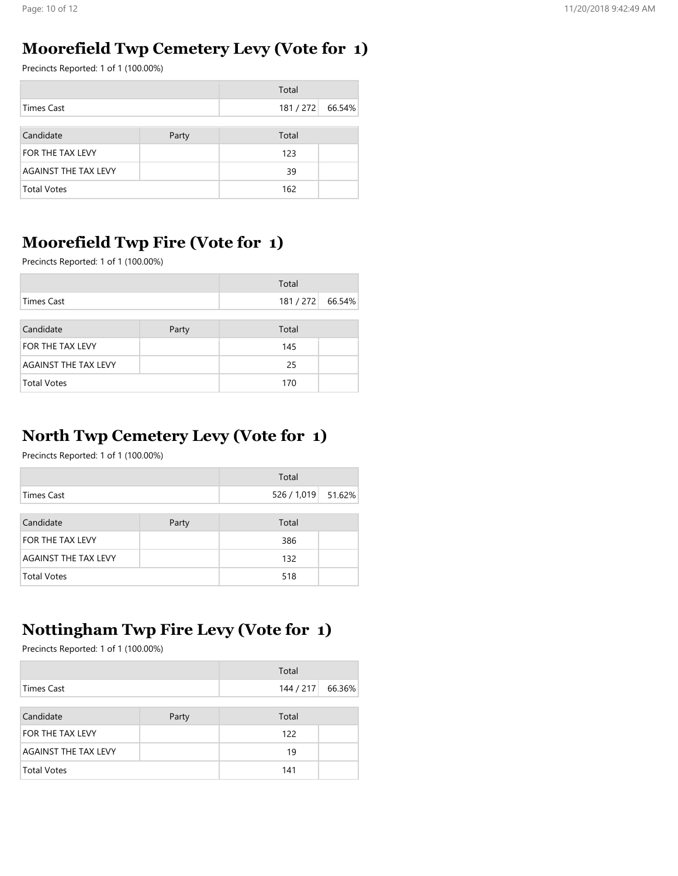#### Moorefield Twp Cemetery Levy (Vote for 1)

Precincts Reported: 1 of 1 (100.00%)

|                      |       | Total   |        |
|----------------------|-------|---------|--------|
| <b>Times Cast</b>    |       | 181/272 | 66.54% |
|                      |       |         |        |
| Candidate            | Party | Total   |        |
| FOR THE TAX LEVY     |       | 123     |        |
| AGAINST THE TAX LEVY |       | 39      |        |
| <b>Total Votes</b>   |       | 162     |        |

### Moorefield Twp Fire (Vote for 1)

Precincts Reported: 1 of 1 (100.00%)

|                      |       | Total   |        |
|----------------------|-------|---------|--------|
| Times Cast           |       | 181/272 | 66.54% |
|                      |       |         |        |
| Candidate            | Party | Total   |        |
| FOR THE TAX LEVY     |       | 145     |        |
| AGAINST THE TAX LEVY |       | 25      |        |
| <b>Total Votes</b>   |       | 170     |        |

# North Twp Cemetery Levy (Vote for 1)

Precincts Reported: 1 of 1 (100.00%)

|                             |       | Total              |  |
|-----------------------------|-------|--------------------|--|
| <b>Times Cast</b>           |       | 526 / 1,019 51.62% |  |
|                             |       |                    |  |
| Candidate                   | Party | Total              |  |
| FOR THE TAX LEVY            |       | 386                |  |
| <b>AGAINST THE TAX LEVY</b> |       | 132                |  |
| <b>Total Votes</b>          |       | 518                |  |

# Nottingham Twp Fire Levy (Vote for 1)

|                             |       | Total   |        |
|-----------------------------|-------|---------|--------|
| Times Cast                  |       | 144/217 | 66.36% |
|                             |       |         |        |
| Candidate                   | Party | Total   |        |
| <b>FOR THE TAX LEVY</b>     |       | 122     |        |
| <b>AGAINST THE TAX LEVY</b> |       | 19      |        |
| Total Votes                 |       | 141     |        |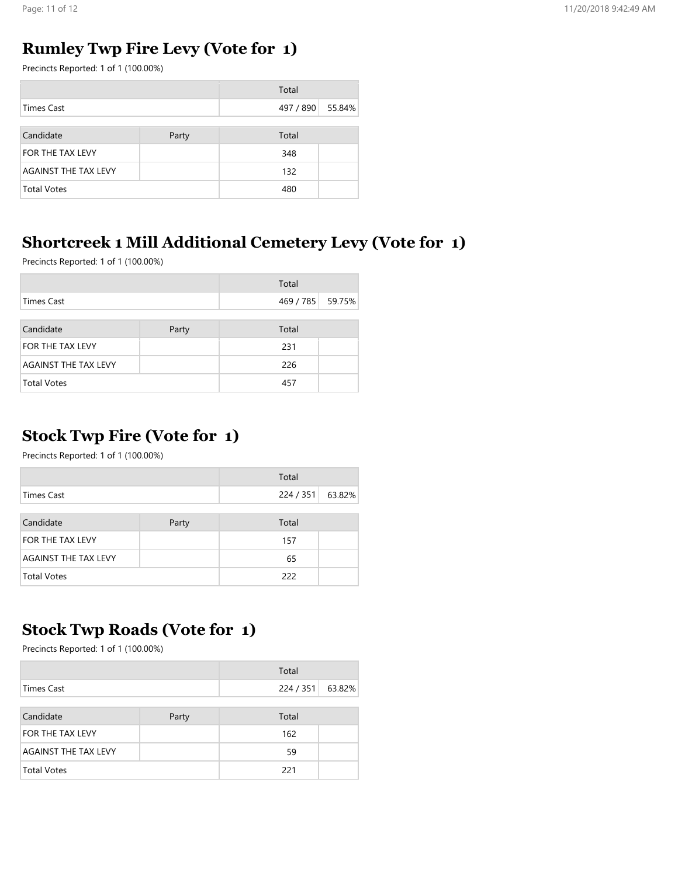#### Rumley Twp Fire Levy (Vote for 1)

Precincts Reported: 1 of 1 (100.00%)

|                      |       | Total     |        |
|----------------------|-------|-----------|--------|
| <b>Times Cast</b>    |       | 497 / 890 | 55.84% |
|                      |       |           |        |
| Candidate            | Party | Total     |        |
| FOR THE TAX LEVY     |       | 348       |        |
| AGAINST THE TAX LEVY |       | 132       |        |
| <b>Total Votes</b>   |       | 480       |        |

# Shortcreek 1 Mill Additional Cemetery Levy (Vote for 1)

Precincts Reported: 1 of 1 (100.00%)

|                      |       | Total            |  |
|----------------------|-------|------------------|--|
| <b>Times Cast</b>    |       | 469 / 785 59.75% |  |
|                      |       |                  |  |
| Candidate            | Party | Total            |  |
| FOR THE TAX LEVY     |       | 231              |  |
| AGAINST THE TAX LEVY |       | 226              |  |
| <b>Total Votes</b>   |       | 457              |  |

# Stock Twp Fire (Vote for 1)

Precincts Reported: 1 of 1 (100.00%)

|                         |       | Total   |        |
|-------------------------|-------|---------|--------|
| <b>Times Cast</b>       |       | 224/351 | 63.82% |
|                         |       |         |        |
| Candidate               | Party | Total   |        |
| <b>FOR THE TAX LEVY</b> |       | 157     |        |
| AGAINST THE TAX LEVY    |       | 65      |        |
| <b>Total Votes</b>      |       | 222     |        |

# Stock Twp Roads (Vote for 1)

|                             |       | Total   |        |
|-----------------------------|-------|---------|--------|
| Times Cast                  |       | 224/351 | 63.82% |
|                             |       |         |        |
| Candidate                   | Party | Total   |        |
| <b>FOR THE TAX LEVY</b>     |       | 162     |        |
| <b>AGAINST THE TAX LEVY</b> |       | 59      |        |
| <b>Total Votes</b>          |       | 221     |        |